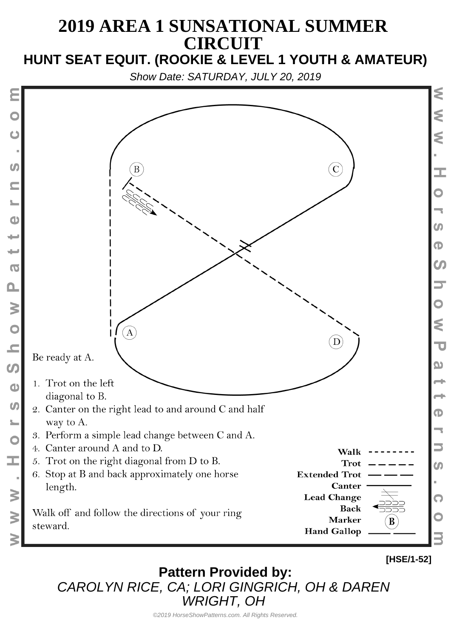#### **2019 AREA 1 SUNSATIONAL SUMMER CIRCUIT HUNT SEAT EQUIT. (ROOKIE & LEVEL 1 YOUTH & AMATEUR)**

Show Date: SATURDAY, JULY 20, 2019



**Pattern Provided by:** CAROLYN RICE, CA; LORI GINGRICH, OH & DAREN WRIGHT, OH

©2019 HorseShowPatterns.com. All Rights Reserved.

**[HSE/1-52]**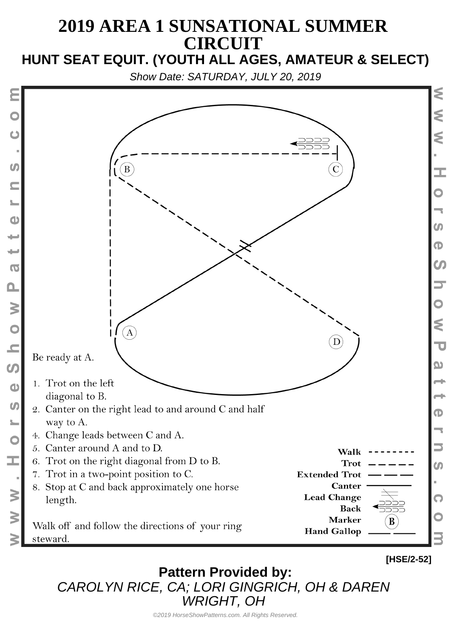#### **2019 AREA 1 SUNSATIONAL SUMMER CIRCUIT HUNT SEAT EQUIT. (YOUTH ALL AGES, AMATEUR & SELECT)**

Show Date: SATURDAY, JULY 20, 2019



**Pattern Provided by:** CAROLYN RICE, CA; LORI GINGRICH, OH & DAREN WRIGHT, OH

©2019 HorseShowPatterns.com. All Rights Reserved.

**[HSE/2-52]**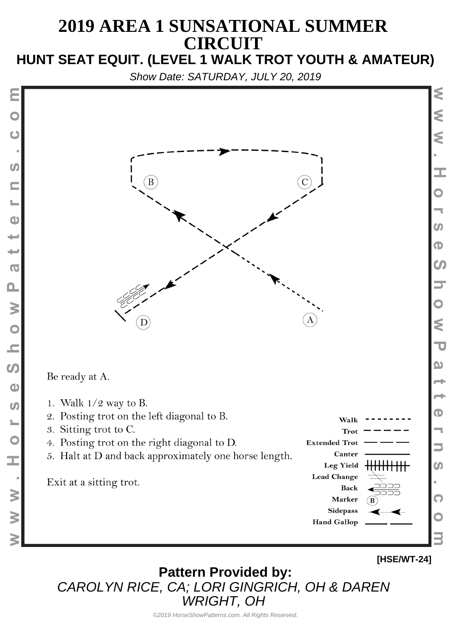# **2019 AREA 1 SUNSATIONAL SUMMER CIRCUIT**

# **HUNT SEAT EQUIT. (LEVEL 1 WALK TROT YOUTH & AMATEUR)**

Show Date: SATURDAY, JULY 20, 2019



Be ready at A.

 $\boldsymbol{u}$ 

 $\mathbf{d}$ 

 $\overline{O}$ 

 $\mathbf{\Omega}$ 

 $\geq$ 

 $\overline{C}$ 

 $\overline{\phantom{a}}$ 

 $\Omega$ 

 $\bigcirc$ 

 $\boldsymbol{\omega}$ 

C

Ī.

 $\geq$ 

 $\geq$ 

- 1. Walk  $1/2$  way to B.
- 2. Posting trot on the left diagonal to B.
- 3. Sitting trot to C.
- 4. Posting trot on the right diagonal to D.
- 5. Halt at D and back approximately one horse length.

Exit at a sitting trot.





**[HSE/WT-24]**

**Pattern Provided by:** CAROLYN RICE, CA; LORI GINGRICH, OH & DAREN WRIGHT, OH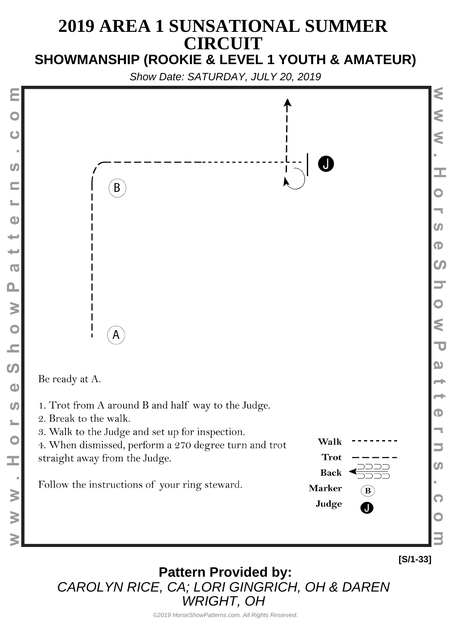#### **2019 AREA 1 SUNSATIONAL SUMMER CIRCUIT SHOWMANSHIP (ROOKIE & LEVEL 1 YOUTH & AMATEUR)**

Show Date: SATURDAY, JULY 20, 2019



**Pattern Provided by:** CAROLYN RICE, CA; LORI GINGRICH, OH & DAREN WRIGHT, OH

**[S/1-33]**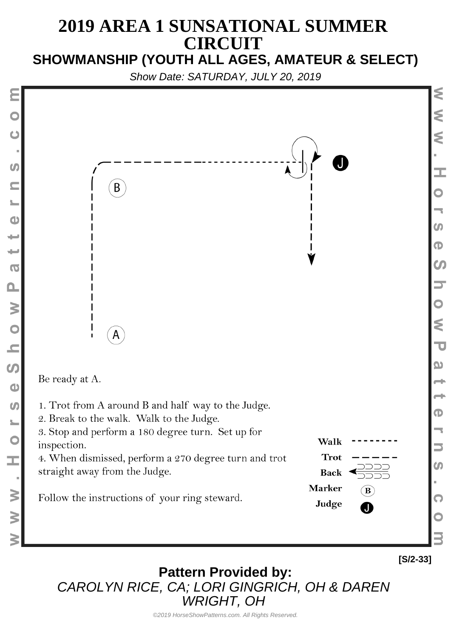#### **2019 AREA 1 SUNSATIONAL SUMMER CIRCUIT SHOWMANSHIP (YOUTH ALL AGES, AMATEUR & SELECT)**

Show Date: SATURDAY, JULY 20, 2019



⋚

**Pattern Provided by:** CAROLYN RICE, CA; LORI GINGRICH, OH & DAREN WRIGHT, OH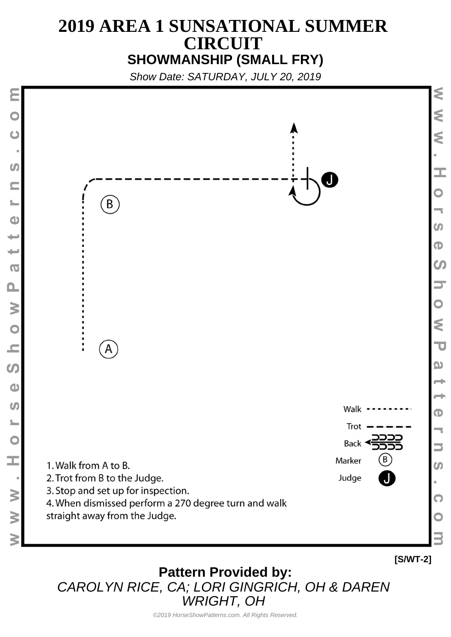## **2019 AREA 1 SUNSATIONAL SUMMER CIRCUIT SHOWMANSHIP (SMALL FRY)**

Show Date: SATURDAY, JULY 20, 2019



**Pattern Provided by:** CAROLYN RICE, CA; LORI GINGRICH, OH & DAREN WRIGHT, OH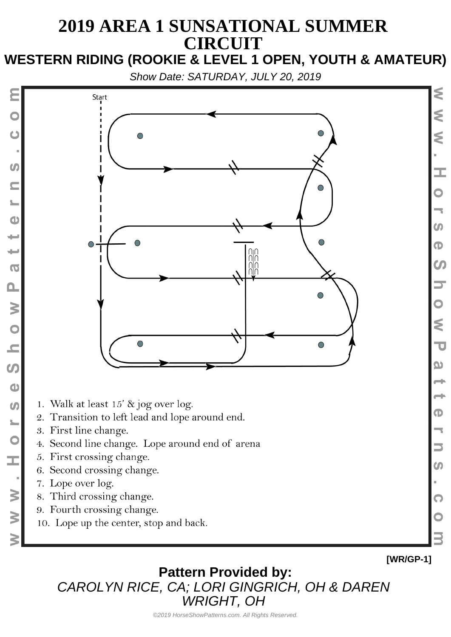### **2019 AREA 1 SUNSATIONAL SUMMER CIRCUIT WESTERN RIDING (ROOKIE & LEVEL 1 OPEN, YOUTH & AMATEUR)**

Show Date: SATURDAY, JULY 20, 2019



- 1. Walk at least 15' & jog over log.
- 2. Transition to left lead and lope around end.
- 3. First line change.

Ò

 $\boldsymbol{C}$ 

 $\bullet$ 

است

پ

 $\overline{O}$ 

 $\mathbf{\Omega}$ 

 $\geq$ 

 $\circ$ 

 $\overline{\phantom{0}}$ 

 $\boldsymbol{\omega}$ 

 $\bullet$ 

 $\boldsymbol{\omega}$ 

C

ш,

 $\geq$ 

 $\geq$ 

- 4. Second line change. Lope around end of arena
- 5. First crossing change.
- 6. Second crossing change.
- 7. Lope over log.
- 8. Third crossing change.
- 9. Fourth crossing change.
- 10. Lope up the center, stop and back.

**[WR/GP-1]**

⋚

₹

Ś

I.

m

 $\mathbf \Phi$ 

 $\boldsymbol{\omega}$ 

⋚

 $\overline{\mathbf{U}}$ 

യ

Œ

m

Q

**Pattern Provided by:** CAROLYN RICE, CA; LORI GINGRICH, OH & DAREN WRIGHT, OH